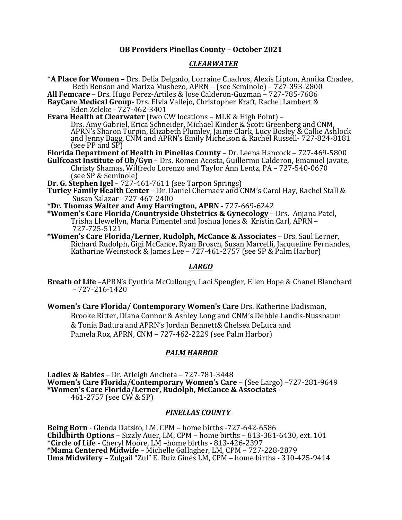# **OB Providers Pinellas County – October 2021**

## *CLEARWATER*

**\*A Place for Women –** Drs. Delia Delgado, Lorraine Cuadros, Alexis Lipton, Annika Chadee, **All Femcare** – Drs. Hugo Perez-Artiles & Jose Calderon-Guzman – 727-785-7686 **BayCare Medical Group-** Drs. Elvia Vallejo, Christopher Kraft, Rachel Lambert & Eden Zeleke - 727-462-3401<br>**Evara Health at Clearwater** (two CW locations – MLK & High Point) –

Drs. Amy Gabriel, Erica Schneider, Michael Kinder & Scott Greenberg and CNM,<br>APRN's Sharon Turpin, Elizabeth Plumley, Jaime Clark, Lucy Bosley & Callie Ashlock<br>and Jenny Bagg, CNM and APRN's Emily Michelson & Rachel Russel (see PP and SP)

**Florida Department of Health in Pinellas County** – Dr. Leena Hancock – 727-469-5800 **Gulfcoast Institute of Ob/Gyn** – Drs. Romeo Acosta, Guillermo Calderon, Emanuel Javate,

Christy Shamas, Wilfredo Lorenzo and Taylor Ann Lentz, PA – 727-540-0670 (see SP & Seminole)

**Dr. G. Stephen Igel** – 727-461-7611 (see Tarpon Springs)

**Turley Family Health Center –** Dr. Daniel Chernaev and CNM's Carol Hay, Rachel Stall & Susan Salazar –727-467-2400

**\*Dr. Thomas Walter and Amy Harrington, APRN** - 727-669-6242

**\*Women's Care Florida/Countryside Obstetrics & Gynecology** – Drs. Anjana Patel, Trisha Llewellyn, Maria Pimentel and Joshua Jones & Kristin Carl, APRN – 727-725-5121

**\*Women's Care Florida/Lerner, Rudolph, McCance & Associates** – Drs. Saul Lerner, Richard Rudolph, Gigi McCance, Ryan Brosch, Susan Marcelli, Jacqueline Fernandes, Katharine Weinstock & James Lee – 727-461-2757 (see SP & Palm Harbor)

## *LARGO*

**Breath of Life** –APRN's Cynthia McCullough, Laci Spengler, Ellen Hope & Chanel Blanchard – 727-216-1420

**Women's Care Florida/ Contemporary Women's Care** Drs. Katherine Dadisman, Brooke Ritter, Diana Connor & Ashley Long and CNM's Debbie Landis-Nussbaum & Tonia Badura and APRN's Jordan Bennett& Chelsea DeLuca and Pamela Rox, APRN, CNM – 727-462-2229 (see Palm Harbor)

## *PALM HARBOR*

**Ladies & Babies** – Dr. Arleigh Ancheta – 727-781-3448 **Women's Care Florida/Contemporary Women's Care** – (See Largo) –727-281-9649 **\*Women's Care Florida/Lerner, Rudolph, McCance & Associates** – 461-2757 (see CW & SP)

## *PINELLAS COUNTY*

**Being Born -** Glenda Datsko, LM, CPM **–** home births -727-642-6586 **Childbirth Options** – Sizzly Auer, LM, CPM – home births – 813-381-6430, ext. 101 **\*Circle of Life -** Cheryl Moore, LM –home births - 813-426-2397 **\*Mama Centered Midwife** – Michelle Gallagher, LM, CPM – 727-228-2879 **Uma Midwifery –** Zulgail "Zul" E. Ruiz Ginés LM, CPM – home births - 310-425-9414